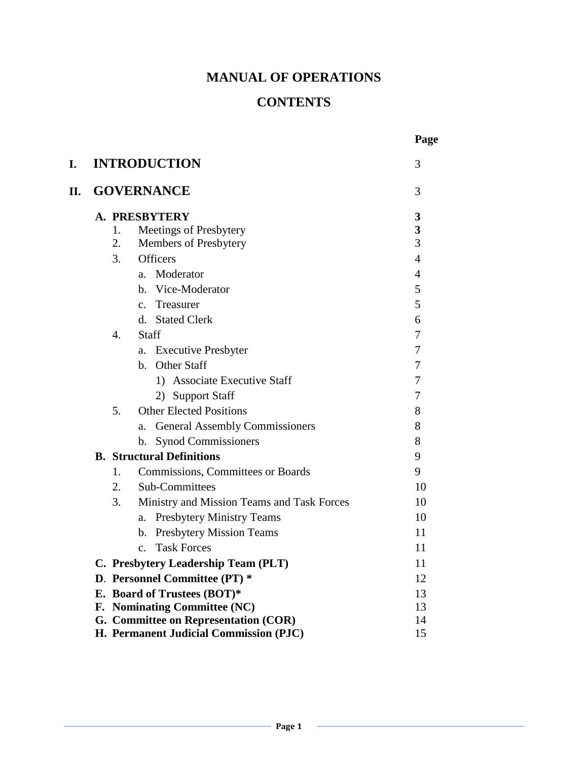# **MANUAL OF OPERATIONS**

# **CONTENTS**

|     |                                        |                                             | Page                    |
|-----|----------------------------------------|---------------------------------------------|-------------------------|
| I.  |                                        | <b>INTRODUCTION</b>                         | 3                       |
| II. |                                        | <b>GOVERNANCE</b>                           | 3                       |
|     | A. PRESBYTERY                          |                                             | 3                       |
|     | 1.                                     | Meetings of Presbytery                      | $\overline{\mathbf{3}}$ |
|     | 2.                                     | Members of Presbytery                       | $\overline{3}$          |
|     | 3.                                     | <b>Officers</b>                             | $\overline{4}$          |
|     |                                        | Moderator<br>a.                             | 4                       |
|     |                                        | b. Vice-Moderator                           | 5                       |
|     |                                        | Treasurer<br>$\mathbf{c}$ .                 | 5                       |
|     |                                        | d. Stated Clerk                             | 6                       |
|     | $\mathbf{4}$ .                         | <b>Staff</b>                                | 7                       |
|     |                                        | <b>Executive Presbyter</b><br>a.            | 7                       |
|     |                                        | <b>Other Staff</b><br>b.                    | 7                       |
|     |                                        | 1) Associate Executive Staff                | 7                       |
|     |                                        | 2) Support Staff                            | 7                       |
|     | 5.                                     | <b>Other Elected Positions</b>              | 8                       |
|     |                                        | <b>General Assembly Commissioners</b><br>a. | 8                       |
|     |                                        | <b>Synod Commissioners</b><br>b.            | 8                       |
|     | <b>B.</b> Structural Definitions       |                                             | 9                       |
|     | 1.                                     | Commissions, Committees or Boards           | 9                       |
|     | 2.                                     | Sub-Committees                              | 10                      |
|     | 3.                                     | Ministry and Mission Teams and Task Forces  | 10                      |
|     |                                        | <b>Presbytery Ministry Teams</b><br>a.      | 10                      |
|     |                                        | <b>Presbytery Mission Teams</b><br>b.       | 11                      |
|     |                                        | <b>Task Forces</b><br>$\mathbf{c}$ .        | 11                      |
|     |                                        | C. Presbytery Leadership Team (PLT)         | 11                      |
|     | D. Personnel Committee (PT) *          | 12                                          |                         |
|     | E. Board of Trustees (BOT)*            | 13                                          |                         |
|     | F. Nominating Committee (NC)           | 13                                          |                         |
|     | G. Committee on Representation (COR)   | 14                                          |                         |
|     | H. Permanent Judicial Commission (PJC) | 15                                          |                         |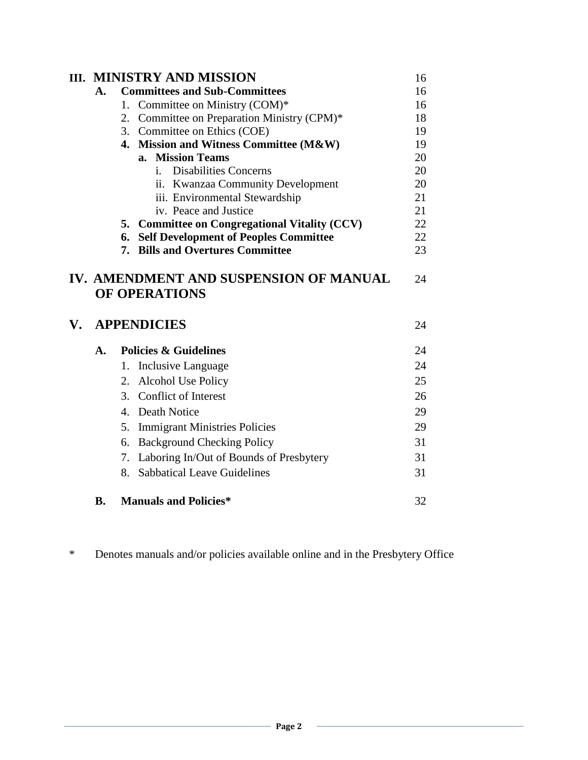|    |           | III. MINISTRY AND MISSION                                                            | 16       |
|----|-----------|--------------------------------------------------------------------------------------|----------|
|    | <b>A.</b> | <b>Committees and Sub-Committees</b>                                                 | 16       |
|    |           | Committee on Ministry (COM)*<br>1.                                                   | 16       |
|    |           | Committee on Preparation Ministry (CPM)*<br>2.                                       | 18       |
|    |           | 3. Committee on Ethics (COE)                                                         | 19       |
|    |           | 4. Mission and Witness Committee (M&W)                                               | 19       |
|    |           | a. Mission Teams                                                                     | 20       |
|    |           | <b>Disabilities Concerns</b><br>i.                                                   | 20       |
|    |           | ii. Kwanzaa Community Development                                                    | 20       |
|    |           | iii. Environmental Stewardship                                                       | 21       |
|    |           | iv. Peace and Justice                                                                | 21       |
|    |           | 5. Committee on Congregational Vitality (CCV)                                        | 22       |
|    |           | <b>Self Development of Peoples Committee</b><br>6.                                   | 22       |
|    |           | <b>7. Bills and Overtures Committee</b>                                              | 23       |
|    |           |                                                                                      |          |
| V. |           | IV. AMENDMENT AND SUSPENSION OF MANUAL<br><b>OF OPERATIONS</b><br><b>APPENDICIES</b> | 24<br>24 |
|    | A.        | <b>Policies &amp; Guidelines</b>                                                     | 24       |
|    |           | Inclusive Language<br>1.                                                             | 24       |
|    |           |                                                                                      | 25       |
|    |           | 2. Alcohol Use Policy<br><b>Conflict of Interest</b><br>3.                           | 26       |
|    |           |                                                                                      |          |
|    |           | 4. Death Notice                                                                      | 29       |
|    |           | <b>Immigrant Ministries Policies</b><br>5.                                           | 29       |
|    |           | 6. Background Checking Policy                                                        | 31       |
|    |           | 7. Laboring In/Out of Bounds of Presbytery                                           | 31       |
|    |           | <b>Sabbatical Leave Guidelines</b><br>8.                                             | 31       |

\* Denotes manuals and/or policies available online and in the Presbytery Office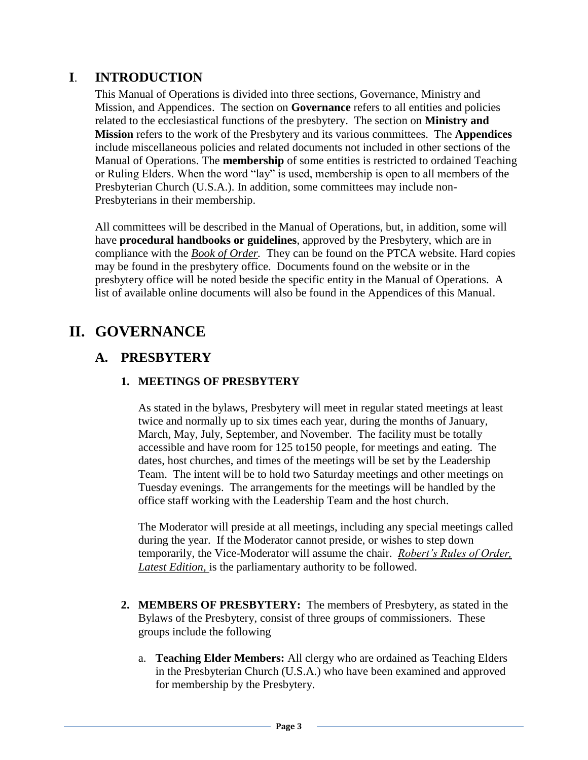# **I**. **INTRODUCTION**

This Manual of Operations is divided into three sections, Governance, Ministry and Mission, and Appendices. The section on **Governance** refers to all entities and policies related to the ecclesiastical functions of the presbytery. The section on **Ministry and Mission** refers to the work of the Presbytery and its various committees. The **Appendices** include miscellaneous policies and related documents not included in other sections of the Manual of Operations. The **membership** of some entities is restricted to ordained Teaching or Ruling Elders. When the word "lay" is used, membership is open to all members of the Presbyterian Church (U.S.A.). In addition, some committees may include non-Presbyterians in their membership.

All committees will be described in the Manual of Operations, but, in addition, some will have **procedural handbooks or guidelines**, approved by the Presbytery, which are in compliance with the *Book of Order.* They can be found on the PTCA website. Hard copies may be found in the presbytery office. Documents found on the website or in the presbytery office will be noted beside the specific entity in the Manual of Operations. A list of available online documents will also be found in the Appendices of this Manual.

# **II. GOVERNANCE**

# **A. PRESBYTERY**

## **1. MEETINGS OF PRESBYTERY**

As stated in the bylaws, Presbytery will meet in regular stated meetings at least twice and normally up to six times each year, during the months of January, March, May, July, September, and November. The facility must be totally accessible and have room for 125 to150 people, for meetings and eating. The dates, host churches, and times of the meetings will be set by the Leadership Team. The intent will be to hold two Saturday meetings and other meetings on Tuesday evenings. The arrangements for the meetings will be handled by the office staff working with the Leadership Team and the host church.

The Moderator will preside at all meetings, including any special meetings called during the year. If the Moderator cannot preside, or wishes to step down temporarily, the Vice-Moderator will assume the chair. *Robert's Rules of Order,*  Latest Edition, is the parliamentary authority to be followed.

- **2. MEMBERS OF PRESBYTERY:** The members of Presbytery, as stated in the Bylaws of the Presbytery, consist of three groups of commissioners. These groups include the following
	- a. **Teaching Elder Members:** All clergy who are ordained as Teaching Elders in the Presbyterian Church (U.S.A.) who have been examined and approved for membership by the Presbytery.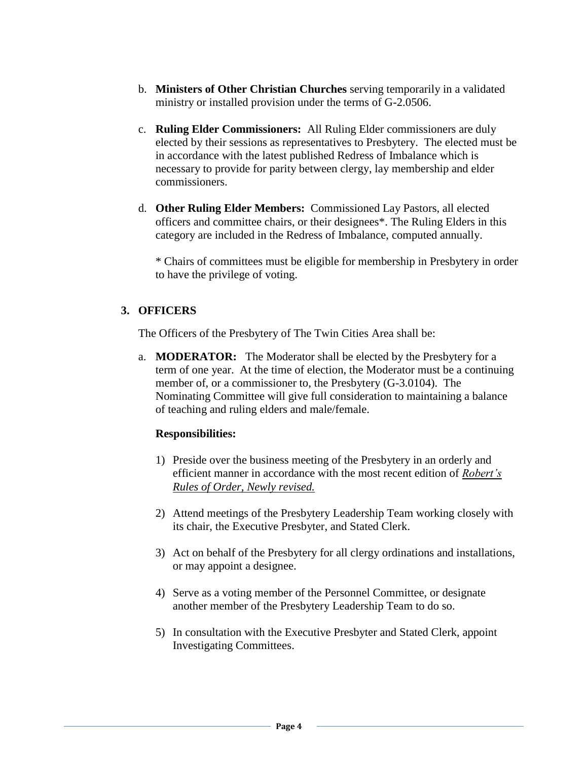- b. **Ministers of Other Christian Churches** serving temporarily in a validated ministry or installed provision under the terms of G-2.0506.
- c. **Ruling Elder Commissioners:** All Ruling Elder commissioners are duly elected by their sessions as representatives to Presbytery. The elected must be in accordance with the latest published Redress of Imbalance which is necessary to provide for parity between clergy, lay membership and elder commissioners.
- d. **Other Ruling Elder Members:** Commissioned Lay Pastors, all elected officers and committee chairs, or their designees\*. The Ruling Elders in this category are included in the Redress of Imbalance, computed annually.

\* Chairs of committees must be eligible for membership in Presbytery in order to have the privilege of voting.

## **3. OFFICERS**

The Officers of the Presbytery of The Twin Cities Area shall be:

a. **MODERATOR:** The Moderator shall be elected by the Presbytery for a term of one year. At the time of election, the Moderator must be a continuing member of, or a commissioner to, the Presbytery (G-3.0104). The Nominating Committee will give full consideration to maintaining a balance of teaching and ruling elders and male/female.

- 1) Preside over the business meeting of the Presbytery in an orderly and efficient manner in accordance with the most recent edition of *Robert's Rules of Order, Newly revised.*
- 2) Attend meetings of the Presbytery Leadership Team working closely with its chair, the Executive Presbyter, and Stated Clerk.
- 3) Act on behalf of the Presbytery for all clergy ordinations and installations, or may appoint a designee.
- 4) Serve as a voting member of the Personnel Committee, or designate another member of the Presbytery Leadership Team to do so.
- 5) In consultation with the Executive Presbyter and Stated Clerk, appoint Investigating Committees.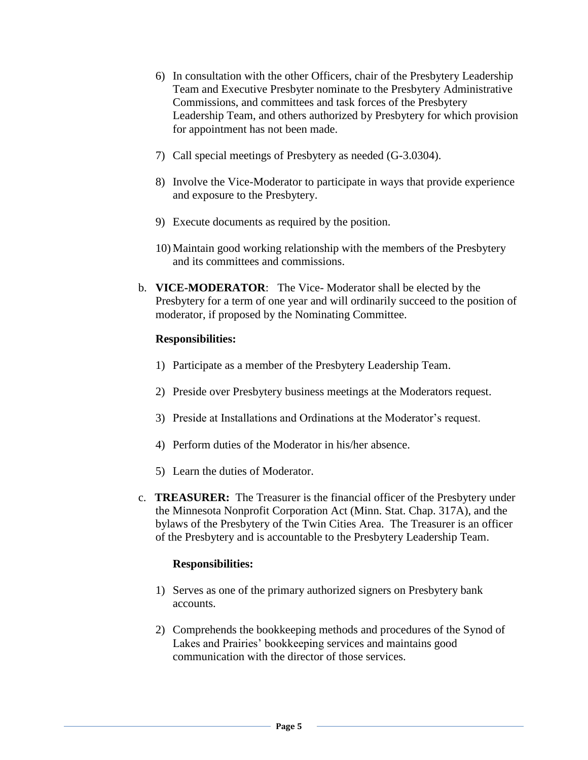- 6) In consultation with the other Officers, chair of the Presbytery Leadership Team and Executive Presbyter nominate to the Presbytery Administrative Commissions, and committees and task forces of the Presbytery Leadership Team, and others authorized by Presbytery for which provision for appointment has not been made.
- 7) Call special meetings of Presbytery as needed (G-3.0304).
- 8) Involve the Vice-Moderator to participate in ways that provide experience and exposure to the Presbytery.
- 9) Execute documents as required by the position.
- 10) Maintain good working relationship with the members of the Presbytery and its committees and commissions.
- b. **VICE-MODERATOR**: The Vice- Moderator shall be elected by the Presbytery for a term of one year and will ordinarily succeed to the position of moderator, if proposed by the Nominating Committee.

#### **Responsibilities:**

- 1) Participate as a member of the Presbytery Leadership Team.
- 2) Preside over Presbytery business meetings at the Moderators request.
- 3) Preside at Installations and Ordinations at the Moderator's request.
- 4) Perform duties of the Moderator in his/her absence.
- 5) Learn the duties of Moderator.
- c. **TREASURER:** The Treasurer is the financial officer of the Presbytery under the Minnesota Nonprofit Corporation Act (Minn. Stat. Chap. 317A), and the bylaws of the Presbytery of the Twin Cities Area. The Treasurer is an officer of the Presbytery and is accountable to the Presbytery Leadership Team.

- 1) Serves as one of the primary authorized signers on Presbytery bank accounts.
- 2) Comprehends the bookkeeping methods and procedures of the Synod of Lakes and Prairies' bookkeeping services and maintains good communication with the director of those services.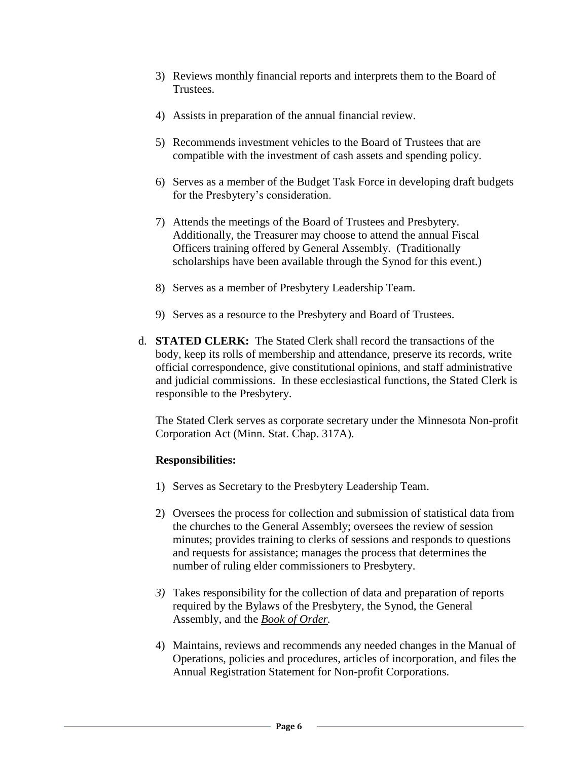- 3) Reviews monthly financial reports and interprets them to the Board of Trustees.
- 4) Assists in preparation of the annual financial review.
- 5) Recommends investment vehicles to the Board of Trustees that are compatible with the investment of cash assets and spending policy.
- 6) Serves as a member of the Budget Task Force in developing draft budgets for the Presbytery's consideration.
- 7) Attends the meetings of the Board of Trustees and Presbytery. Additionally, the Treasurer may choose to attend the annual Fiscal Officers training offered by General Assembly. (Traditionally scholarships have been available through the Synod for this event.)
- 8) Serves as a member of Presbytery Leadership Team.
- 9) Serves as a resource to the Presbytery and Board of Trustees.
- d. **STATED CLERK:** The Stated Clerk shall record the transactions of the body, keep its rolls of membership and attendance, preserve its records, write official correspondence, give constitutional opinions, and staff administrative and judicial commissions. In these ecclesiastical functions, the Stated Clerk is responsible to the Presbytery.

The Stated Clerk serves as corporate secretary under the Minnesota Non-profit Corporation Act (Minn. Stat. Chap. 317A).

- 1) Serves as Secretary to the Presbytery Leadership Team.
- 2) Oversees the process for collection and submission of statistical data from the churches to the General Assembly; oversees the review of session minutes; provides training to clerks of sessions and responds to questions and requests for assistance; manages the process that determines the number of ruling elder commissioners to Presbytery.
- *3)* Takes responsibility for the collection of data and preparation of reports required by the Bylaws of the Presbytery, the Synod, the General Assembly, and the *Book of Order.*
- 4) Maintains, reviews and recommends any needed changes in the Manual of Operations, policies and procedures, articles of incorporation, and files the Annual Registration Statement for Non-profit Corporations.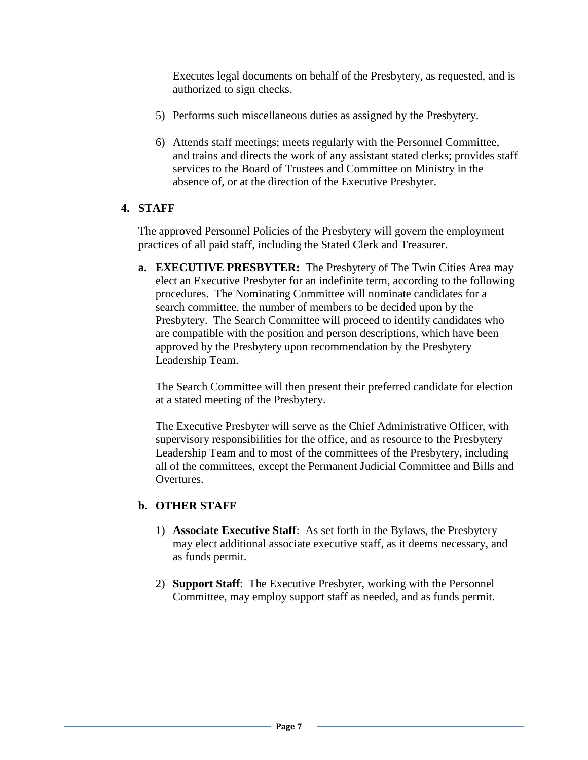Executes legal documents on behalf of the Presbytery, as requested, and is authorized to sign checks.

- 5) Performs such miscellaneous duties as assigned by the Presbytery.
- 6) Attends staff meetings; meets regularly with the Personnel Committee, and trains and directs the work of any assistant stated clerks; provides staff services to the Board of Trustees and Committee on Ministry in the absence of, or at the direction of the Executive Presbyter.

## **4. STAFF**

The approved Personnel Policies of the Presbytery will govern the employment practices of all paid staff, including the Stated Clerk and Treasurer.

**a. EXECUTIVE PRESBYTER:** The Presbytery of The Twin Cities Area may elect an Executive Presbyter for an indefinite term, according to the following procedures. The Nominating Committee will nominate candidates for a search committee, the number of members to be decided upon by the Presbytery. The Search Committee will proceed to identify candidates who are compatible with the position and person descriptions, which have been approved by the Presbytery upon recommendation by the Presbytery Leadership Team.

The Search Committee will then present their preferred candidate for election at a stated meeting of the Presbytery.

The Executive Presbyter will serve as the Chief Administrative Officer, with supervisory responsibilities for the office, and as resource to the Presbytery Leadership Team and to most of the committees of the Presbytery, including all of the committees, except the Permanent Judicial Committee and Bills and Overtures.

#### **b. OTHER STAFF**

- 1) **Associate Executive Staff**: As set forth in the Bylaws, the Presbytery may elect additional associate executive staff, as it deems necessary, and as funds permit.
- 2) **Support Staff**: The Executive Presbyter, working with the Personnel Committee, may employ support staff as needed, and as funds permit.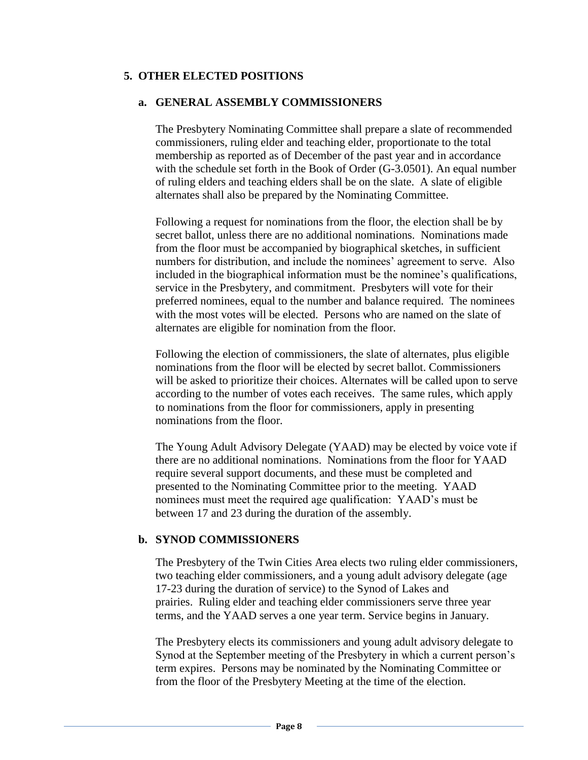### **5. OTHER ELECTED POSITIONS**

#### **a. GENERAL ASSEMBLY COMMISSIONERS**

The Presbytery Nominating Committee shall prepare a slate of recommended commissioners, ruling elder and teaching elder, proportionate to the total membership as reported as of December of the past year and in accordance with the schedule set forth in the Book of Order (G-3.0501). An equal number of ruling elders and teaching elders shall be on the slate. A slate of eligible alternates shall also be prepared by the Nominating Committee.

Following a request for nominations from the floor, the election shall be by secret ballot, unless there are no additional nominations. Nominations made from the floor must be accompanied by biographical sketches, in sufficient numbers for distribution, and include the nominees' agreement to serve. Also included in the biographical information must be the nominee's qualifications, service in the Presbytery, and commitment. Presbyters will vote for their preferred nominees, equal to the number and balance required. The nominees with the most votes will be elected. Persons who are named on the slate of alternates are eligible for nomination from the floor.

Following the election of commissioners, the slate of alternates, plus eligible nominations from the floor will be elected by secret ballot. Commissioners will be asked to prioritize their choices. Alternates will be called upon to serve according to the number of votes each receives. The same rules, which apply to nominations from the floor for commissioners, apply in presenting nominations from the floor.

The Young Adult Advisory Delegate (YAAD) may be elected by voice vote if there are no additional nominations. Nominations from the floor for YAAD require several support documents, and these must be completed and presented to the Nominating Committee prior to the meeting. YAAD nominees must meet the required age qualification: YAAD's must be between 17 and 23 during the duration of the assembly.

#### **b. SYNOD COMMISSIONERS**

The Presbytery of the Twin Cities Area elects two ruling elder commissioners, two teaching elder commissioners, and a young adult advisory delegate (age 17-23 during the duration of service) to the Synod of Lakes and prairies. Ruling elder and teaching elder commissioners serve three year terms, and the YAAD serves a one year term. Service begins in January.

The Presbytery elects its commissioners and young adult advisory delegate to Synod at the September meeting of the Presbytery in which a current person's term expires. Persons may be nominated by the Nominating Committee or from the floor of the Presbytery Meeting at the time of the election.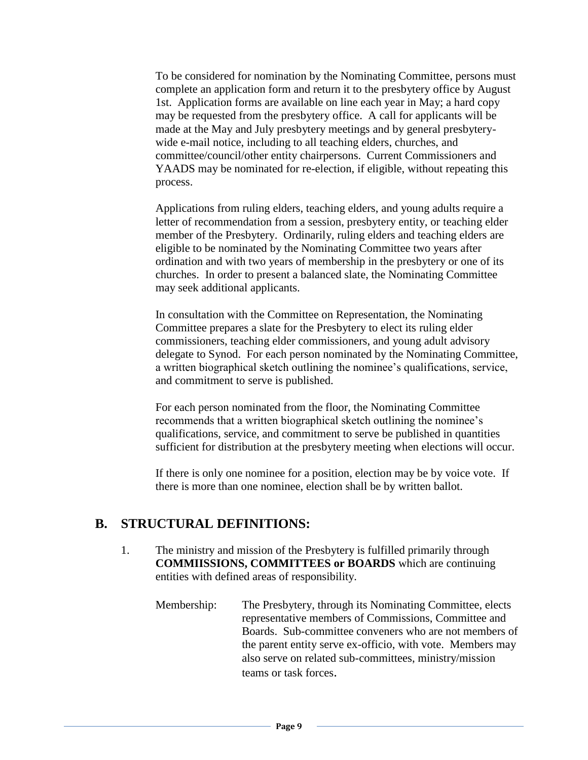To be considered for nomination by the Nominating Committee, persons must complete an application form and return it to the presbytery office by August 1st. Application forms are available on line each year in May; a hard copy may be requested from the presbytery office. A call for applicants will be made at the May and July presbytery meetings and by general presbyterywide e-mail notice, including to all teaching elders, churches, and committee/council/other entity chairpersons. Current Commissioners and YAADS may be nominated for re-election, if eligible, without repeating this process.

Applications from ruling elders, teaching elders, and young adults require a letter of recommendation from a session, presbytery entity, or teaching elder member of the Presbytery. Ordinarily, ruling elders and teaching elders are eligible to be nominated by the Nominating Committee two years after ordination and with two years of membership in the presbytery or one of its churches. In order to present a balanced slate, the Nominating Committee may seek additional applicants.

In consultation with the Committee on Representation, the Nominating Committee prepares a slate for the Presbytery to elect its ruling elder commissioners, teaching elder commissioners, and young adult advisory delegate to Synod. For each person nominated by the Nominating Committee, a written biographical sketch outlining the nominee's qualifications, service, and commitment to serve is published.

For each person nominated from the floor, the Nominating Committee recommends that a written biographical sketch outlining the nominee's qualifications, service, and commitment to serve be published in quantities sufficient for distribution at the presbytery meeting when elections will occur.

If there is only one nominee for a position, election may be by voice vote. If there is more than one nominee, election shall be by written ballot.

## **B. STRUCTURAL DEFINITIONS:**

- 1. The ministry and mission of the Presbytery is fulfilled primarily through **COMMIISSIONS, COMMITTEES or BOARDS** which are continuing entities with defined areas of responsibility*.*
	- Membership: The Presbytery, through its Nominating Committee, elects representative members of Commissions, Committee and Boards. Sub-committee conveners who are not members of the parent entity serve ex-officio, with vote. Members may also serve on related sub-committees, ministry/mission teams or task forces.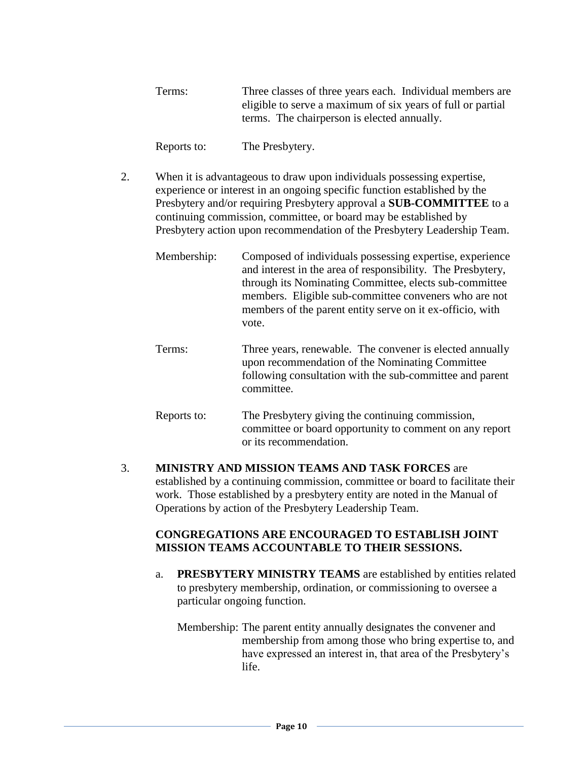| Terms: | Three classes of three years each. Individual members are   |
|--------|-------------------------------------------------------------|
|        | eligible to serve a maximum of six years of full or partial |
|        | terms. The chairperson is elected annually.                 |

Reports to: The Presbytery.

- 2. When it is advantageous to draw upon individuals possessing expertise, experience or interest in an ongoing specific function established by the Presbytery and/or requiring Presbytery approval a **SUB-COMMITTEE** to a continuing commission, committee, or board may be established by Presbytery action upon recommendation of the Presbytery Leadership Team.
	- Membership: Composed of individuals possessing expertise, experience and interest in the area of responsibility. The Presbytery, through its Nominating Committee, elects sub-committee members. Eligible sub-committee conveners who are not members of the parent entity serve on it ex-officio, with vote.
	- Terms: Three years, renewable. The convener is elected annually upon recommendation of the Nominating Committee following consultation with the sub-committee and parent committee.
	- Reports to: The Presbytery giving the continuing commission, committee or board opportunity to comment on any report or its recommendation.
- 3. **MINISTRY AND MISSION TEAMS AND TASK FORCES** are established by a continuing commission, committee or board to facilitate their work. Those established by a presbytery entity are noted in the Manual of Operations by action of the Presbytery Leadership Team.

## **CONGREGATIONS ARE ENCOURAGED TO ESTABLISH JOINT MISSION TEAMS ACCOUNTABLE TO THEIR SESSIONS.**

- a. **PRESBYTERY MINISTRY TEAMS** are established by entities related to presbytery membership, ordination, or commissioning to oversee a particular ongoing function.
	- Membership: The parent entity annually designates the convener and membership from among those who bring expertise to, and have expressed an interest in, that area of the Presbytery's life.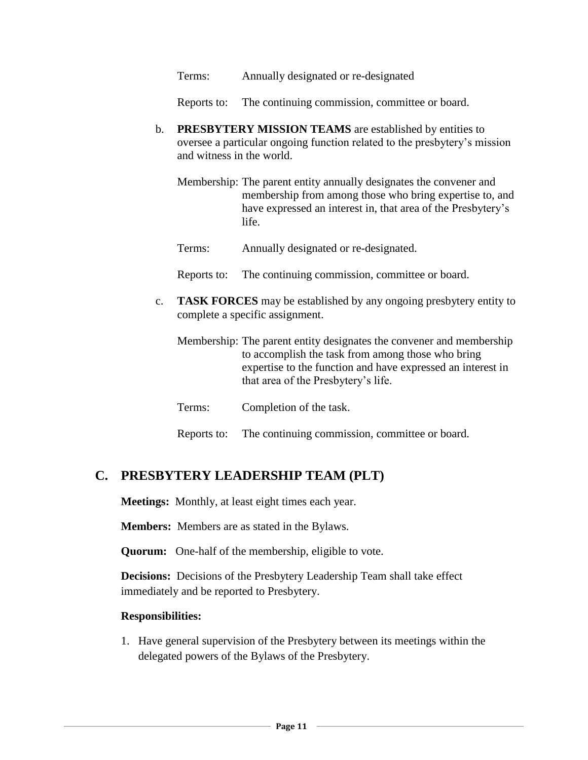Terms: Annually designated or re-designated

Reports to: The continuing commission, committee or board.

- b. **PRESBYTERY MISSION TEAMS** are established by entities to oversee a particular ongoing function related to the presbytery's mission and witness in the world.
	- Membership: The parent entity annually designates the convener and membership from among those who bring expertise to, and have expressed an interest in, that area of the Presbytery's life.
	- Terms: Annually designated or re-designated.
	- Reports to: The continuing commission, committee or board.
- c. **TASK FORCES** may be established by any ongoing presbytery entity to complete a specific assignment.

Membership: The parent entity designates the convener and membership to accomplish the task from among those who bring expertise to the function and have expressed an interest in that area of the Presbytery's life.

- Terms: Completion of the task.
- Reports to: The continuing commission, committee or board.

## **C. PRESBYTERY LEADERSHIP TEAM (PLT)**

**Meetings:** Monthly, at least eight times each year.

**Members:** Members are as stated in the Bylaws.

**Quorum:** One-half of the membership, eligible to vote.

**Decisions:** Decisions of the Presbytery Leadership Team shall take effect immediately and be reported to Presbytery.

#### **Responsibilities:**

1. Have general supervision of the Presbytery between its meetings within the delegated powers of the Bylaws of the Presbytery.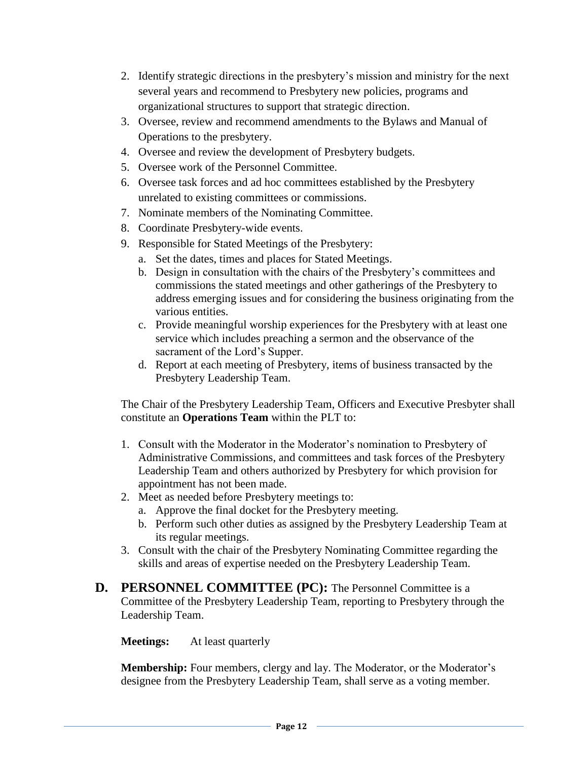- 2. Identify strategic directions in the presbytery's mission and ministry for the next several years and recommend to Presbytery new policies, programs and organizational structures to support that strategic direction.
- 3. Oversee, review and recommend amendments to the Bylaws and Manual of Operations to the presbytery.
- 4. Oversee and review the development of Presbytery budgets.
- 5. Oversee work of the Personnel Committee.
- 6. Oversee task forces and ad hoc committees established by the Presbytery unrelated to existing committees or commissions.
- 7. Nominate members of the Nominating Committee.
- 8. Coordinate Presbytery-wide events.
- 9. Responsible for Stated Meetings of the Presbytery:
	- a. Set the dates, times and places for Stated Meetings.
	- b. Design in consultation with the chairs of the Presbytery's committees and commissions the stated meetings and other gatherings of the Presbytery to address emerging issues and for considering the business originating from the various entities.
	- c. Provide meaningful worship experiences for the Presbytery with at least one service which includes preaching a sermon and the observance of the sacrament of the Lord's Supper.
	- d. Report at each meeting of Presbytery, items of business transacted by the Presbytery Leadership Team.

The Chair of the Presbytery Leadership Team, Officers and Executive Presbyter shall constitute an **Operations Team** within the PLT to:

- 1. Consult with the Moderator in the Moderator's nomination to Presbytery of Administrative Commissions, and committees and task forces of the Presbytery Leadership Team and others authorized by Presbytery for which provision for appointment has not been made.
- 2. Meet as needed before Presbytery meetings to:
	- a. Approve the final docket for the Presbytery meeting.
	- b. Perform such other duties as assigned by the Presbytery Leadership Team at its regular meetings.
- 3. Consult with the chair of the Presbytery Nominating Committee regarding the skills and areas of expertise needed on the Presbytery Leadership Team.
- **D. PERSONNEL COMMITTEE (PC):** The Personnel Committee is a Committee of the Presbytery Leadership Team, reporting to Presbytery through the Leadership Team.

**Meetings:** At least quarterly

**Membership:** Four members, clergy and lay. The Moderator, or the Moderator's designee from the Presbytery Leadership Team, shall serve as a voting member.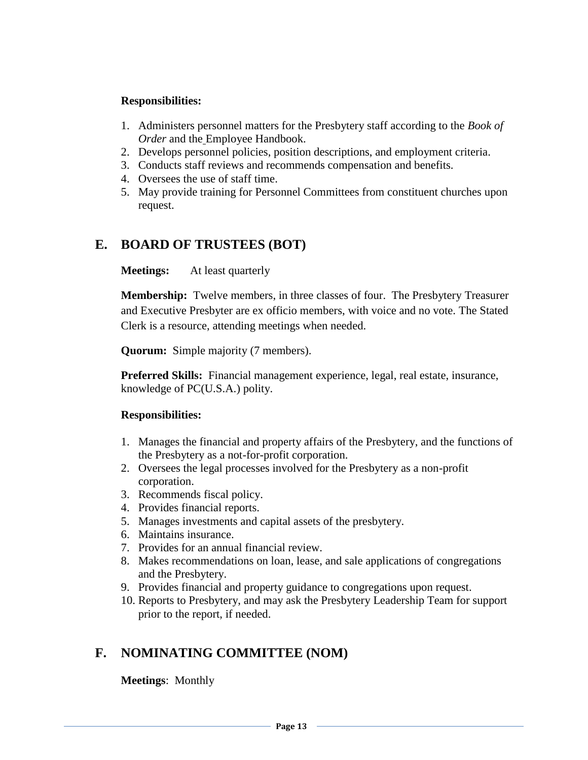### **Responsibilities:**

- 1. Administers personnel matters for the Presbytery staff according to the *Book of Order* and the Employee Handbook.
- 2. Develops personnel policies, position descriptions, and employment criteria.
- 3. Conducts staff reviews and recommends compensation and benefits.
- 4. Oversees the use of staff time.
- 5. May provide training for Personnel Committees from constituent churches upon request.

## **E. BOARD OF TRUSTEES (BOT)**

**Meetings:** At least quarterly

**Membership:** Twelve members, in three classes of four. The Presbytery Treasurer and Executive Presbyter are ex officio members, with voice and no vote. The Stated Clerk is a resource, attending meetings when needed.

**Quorum:** Simple majority (7 members).

**Preferred Skills:** Financial management experience, legal, real estate, insurance, knowledge of PC(U.S.A.) polity.

## **Responsibilities:**

- 1. Manages the financial and property affairs of the Presbytery, and the functions of the Presbytery as a not-for-profit corporation.
- 2. Oversees the legal processes involved for the Presbytery as a non-profit corporation.
- 3. Recommends fiscal policy.
- 4. Provides financial reports.
- 5. Manages investments and capital assets of the presbytery.
- 6. Maintains insurance.
- 7. Provides for an annual financial review.
- 8. Makes recommendations on loan, lease, and sale applications of congregations and the Presbytery.
- 9. Provides financial and property guidance to congregations upon request.
- 10. Reports to Presbytery, and may ask the Presbytery Leadership Team for support prior to the report, if needed.

# **F. NOMINATING COMMITTEE (NOM)**

**Meetings**: Monthly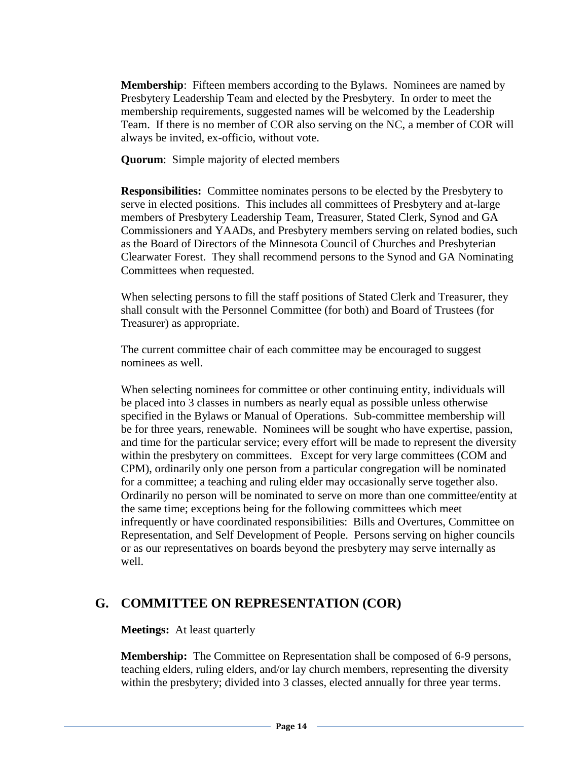**Membership**: Fifteen members according to the Bylaws. Nominees are named by Presbytery Leadership Team and elected by the Presbytery. In order to meet the membership requirements, suggested names will be welcomed by the Leadership Team. If there is no member of COR also serving on the NC, a member of COR will always be invited, ex-officio, without vote.

**Quorum**: Simple majority of elected members

**Responsibilities:** Committee nominates persons to be elected by the Presbytery to serve in elected positions. This includes all committees of Presbytery and at-large members of Presbytery Leadership Team, Treasurer, Stated Clerk, Synod and GA Commissioners and YAADs, and Presbytery members serving on related bodies, such as the Board of Directors of the Minnesota Council of Churches and Presbyterian Clearwater Forest. They shall recommend persons to the Synod and GA Nominating Committees when requested.

When selecting persons to fill the staff positions of Stated Clerk and Treasurer, they shall consult with the Personnel Committee (for both) and Board of Trustees (for Treasurer) as appropriate.

The current committee chair of each committee may be encouraged to suggest nominees as well.

When selecting nominees for committee or other continuing entity, individuals will be placed into 3 classes in numbers as nearly equal as possible unless otherwise specified in the Bylaws or Manual of Operations. Sub-committee membership will be for three years, renewable. Nominees will be sought who have expertise, passion, and time for the particular service; every effort will be made to represent the diversity within the presbytery on committees. Except for very large committees (COM and CPM), ordinarily only one person from a particular congregation will be nominated for a committee; a teaching and ruling elder may occasionally serve together also. Ordinarily no person will be nominated to serve on more than one committee/entity at the same time; exceptions being for the following committees which meet infrequently or have coordinated responsibilities: Bills and Overtures, Committee on Representation, and Self Development of People. Persons serving on higher councils or as our representatives on boards beyond the presbytery may serve internally as well.

# **G. COMMITTEE ON REPRESENTATION (COR)**

**Meetings:** At least quarterly

**Membership:** The Committee on Representation shall be composed of 6-9 persons, teaching elders, ruling elders, and/or lay church members, representing the diversity within the presbytery; divided into 3 classes, elected annually for three year terms.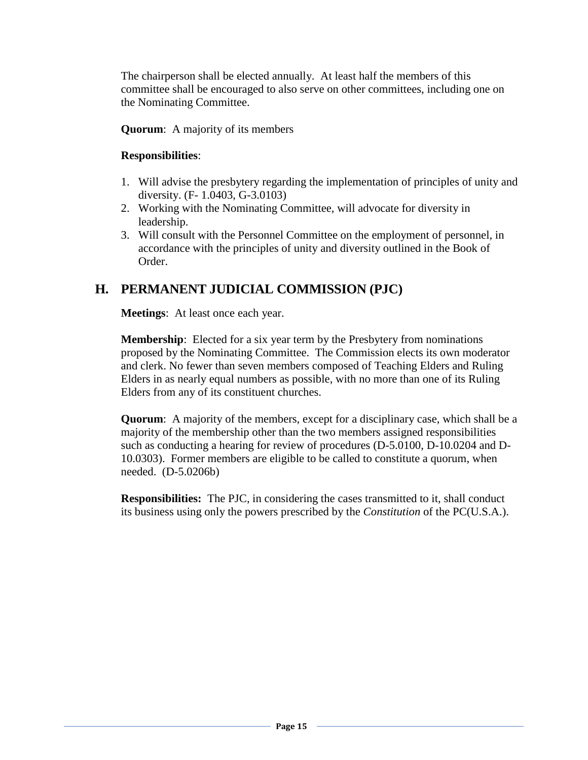The chairperson shall be elected annually. At least half the members of this committee shall be encouraged to also serve on other committees, including one on the Nominating Committee.

**Quorum**: A majority of its members

## **Responsibilities**:

- 1. Will advise the presbytery regarding the implementation of principles of unity and diversity. (F- 1.0403, G-3.0103)
- 2. Working with the Nominating Committee, will advocate for diversity in leadership.
- 3. Will consult with the Personnel Committee on the employment of personnel, in accordance with the principles of unity and diversity outlined in the Book of Order.

# **H. PERMANENT JUDICIAL COMMISSION (PJC)**

**Meetings**: At least once each year.

**Membership**: Elected for a six year term by the Presbytery from nominations proposed by the Nominating Committee. The Commission elects its own moderator and clerk. No fewer than seven members composed of Teaching Elders and Ruling Elders in as nearly equal numbers as possible, with no more than one of its Ruling Elders from any of its constituent churches.

**Quorum**: A majority of the members, except for a disciplinary case, which shall be a majority of the membership other than the two members assigned responsibilities such as conducting a hearing for review of procedures (D-5.0100, D-10.0204 and D-10.0303). Former members are eligible to be called to constitute a quorum, when needed. (D-5.0206b)

**Responsibilities:** The PJC, in considering the cases transmitted to it, shall conduct its business using only the powers prescribed by the *Constitution* of the PC(U.S.A.).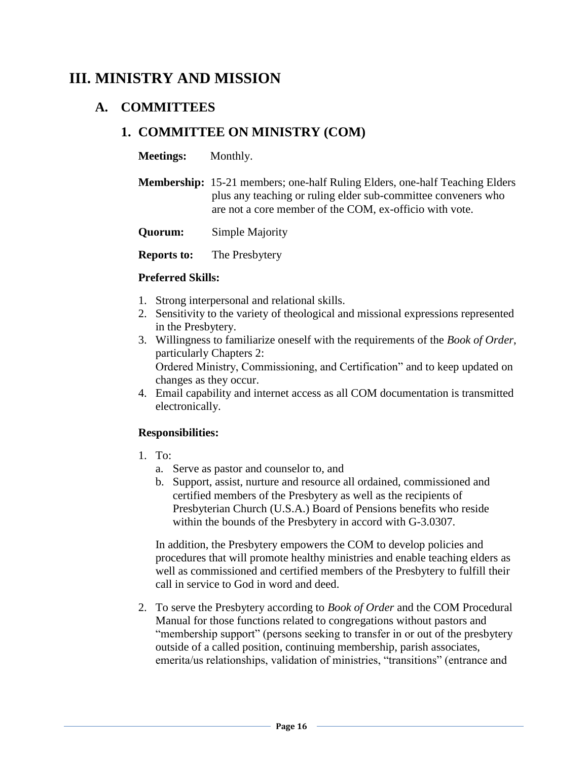# **III. MINISTRY AND MISSION**

# **A. COMMITTEES**

## **1. COMMITTEE ON MINISTRY (COM)**

**Meetings:** Monthly.

**Membership:** 15-21 members; one-half Ruling Elders, one-half Teaching Elders plus any teaching or ruling elder sub-committee conveners who are not a core member of the COM, ex-officio with vote.

**Quorum:** Simple Majority

**Reports to:** The Presbytery

## **Preferred Skills:**

- 1. Strong interpersonal and relational skills.
- 2. Sensitivity to the variety of theological and missional expressions represented in the Presbytery.
- 3. Willingness to familiarize oneself with the requirements of the *Book of Order*, particularly Chapters 2: Ordered Ministry, Commissioning, and Certification" and to keep updated on

changes as they occur.

4. Email capability and internet access as all COM documentation is transmitted electronically.

## **Responsibilities:**

- 1. To:
	- a. Serve as pastor and counselor to, and
	- b. Support, assist, nurture and resource all ordained, commissioned and certified members of the Presbytery as well as the recipients of Presbyterian Church (U.S.A.) Board of Pensions benefits who reside within the bounds of the Presbytery in accord with G-3.0307.

In addition, the Presbytery empowers the COM to develop policies and procedures that will promote healthy ministries and enable teaching elders as well as commissioned and certified members of the Presbytery to fulfill their call in service to God in word and deed.

2. To serve the Presbytery according to *Book of Order* and the COM Procedural Manual for those functions related to congregations without pastors and "membership support" (persons seeking to transfer in or out of the presbytery outside of a called position, continuing membership, parish associates, emerita/us relationships, validation of ministries, "transitions" (entrance and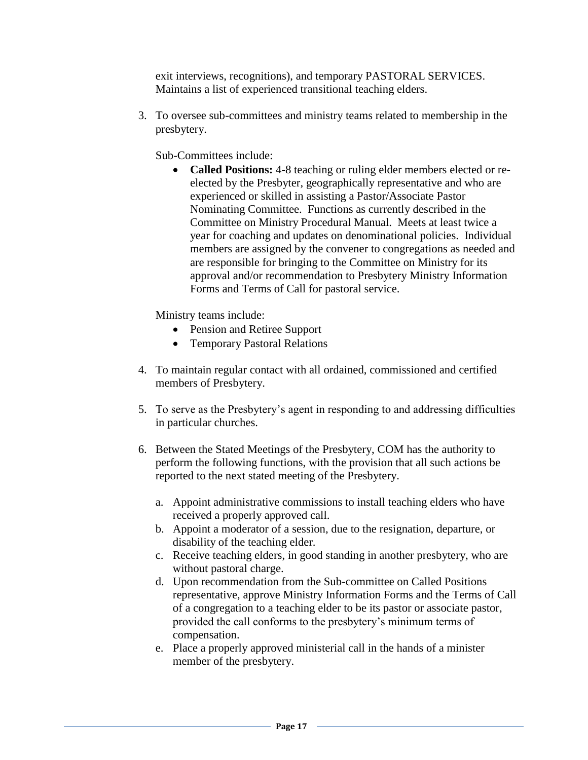exit interviews, recognitions), and temporary PASTORAL SERVICES. Maintains a list of experienced transitional teaching elders.

3. To oversee sub-committees and ministry teams related to membership in the presbytery.

Sub-Committees include:

• **Called Positions:** 4-8 teaching or ruling elder members elected or reelected by the Presbyter, geographically representative and who are experienced or skilled in assisting a Pastor/Associate Pastor Nominating Committee. Functions as currently described in the Committee on Ministry Procedural Manual. Meets at least twice a year for coaching and updates on denominational policies. Individual members are assigned by the convener to congregations as needed and are responsible for bringing to the Committee on Ministry for its approval and/or recommendation to Presbytery Ministry Information Forms and Terms of Call for pastoral service.

Ministry teams include:

- Pension and Retiree Support
- Temporary Pastoral Relations
- 4. To maintain regular contact with all ordained, commissioned and certified members of Presbytery.
- 5. To serve as the Presbytery's agent in responding to and addressing difficulties in particular churches.
- 6. Between the Stated Meetings of the Presbytery, COM has the authority to perform the following functions, with the provision that all such actions be reported to the next stated meeting of the Presbytery.
	- a. Appoint administrative commissions to install teaching elders who have received a properly approved call.
	- b. Appoint a moderator of a session, due to the resignation, departure, or disability of the teaching elder.
	- c. Receive teaching elders, in good standing in another presbytery, who are without pastoral charge.
	- d. Upon recommendation from the Sub-committee on Called Positions representative, approve Ministry Information Forms and the Terms of Call of a congregation to a teaching elder to be its pastor or associate pastor, provided the call conforms to the presbytery's minimum terms of compensation.
	- e. Place a properly approved ministerial call in the hands of a minister member of the presbytery.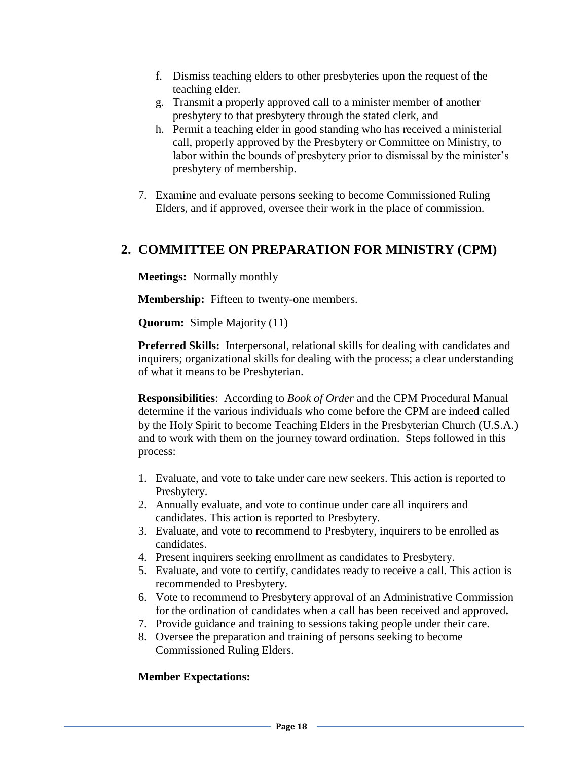- f. Dismiss teaching elders to other presbyteries upon the request of the teaching elder.
- g. Transmit a properly approved call to a minister member of another presbytery to that presbytery through the stated clerk, and
- h. Permit a teaching elder in good standing who has received a ministerial call, properly approved by the Presbytery or Committee on Ministry, to labor within the bounds of presbytery prior to dismissal by the minister's presbytery of membership.
- 7. Examine and evaluate persons seeking to become Commissioned Ruling Elders, and if approved, oversee their work in the place of commission.

# **2. COMMITTEE ON PREPARATION FOR MINISTRY (CPM)**

**Meetings:** Normally monthly

**Membership:** Fifteen to twenty-one members.

**Quorum:** Simple Majority (11)

**Preferred Skills:** Interpersonal, relational skills for dealing with candidates and inquirers; organizational skills for dealing with the process; a clear understanding of what it means to be Presbyterian.

**Responsibilities**: According to *Book of Order* and the CPM Procedural Manual determine if the various individuals who come before the CPM are indeed called by the Holy Spirit to become Teaching Elders in the Presbyterian Church (U.S.A.) and to work with them on the journey toward ordination. Steps followed in this process:

- 1. Evaluate, and vote to take under care new seekers. This action is reported to Presbytery.
- 2. Annually evaluate, and vote to continue under care all inquirers and candidates. This action is reported to Presbytery.
- 3. Evaluate, and vote to recommend to Presbytery, inquirers to be enrolled as candidates.
- 4. Present inquirers seeking enrollment as candidates to Presbytery.
- 5. Evaluate, and vote to certify, candidates ready to receive a call. This action is recommended to Presbytery.
- 6. Vote to recommend to Presbytery approval of an Administrative Commission for the ordination of candidates when a call has been received and approved**.**
- 7. Provide guidance and training to sessions taking people under their care.
- 8. Oversee the preparation and training of persons seeking to become Commissioned Ruling Elders.

## **Member Expectations:**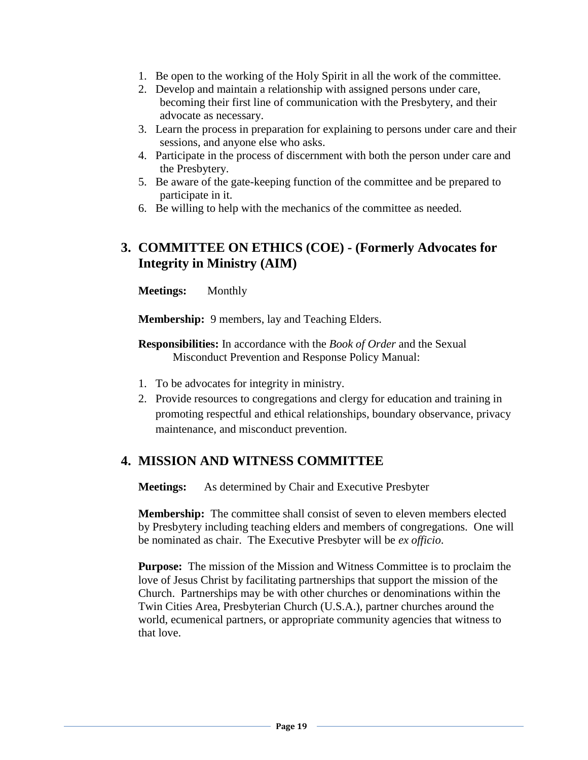- 1. Be open to the working of the Holy Spirit in all the work of the committee.
- 2. Develop and maintain a relationship with assigned persons under care, becoming their first line of communication with the Presbytery, and their advocate as necessary.
- 3. Learn the process in preparation for explaining to persons under care and their sessions, and anyone else who asks.
- 4. Participate in the process of discernment with both the person under care and the Presbytery.
- 5. Be aware of the gate-keeping function of the committee and be prepared to participate in it.
- 6. Be willing to help with the mechanics of the committee as needed.

# **3. COMMITTEE ON ETHICS (COE) - (Formerly Advocates for Integrity in Ministry (AIM)**

**Meetings:** Monthly

**Membership:** 9 members, lay and Teaching Elders.

**Responsibilities:** In accordance with the *Book of Order* and the Sexual Misconduct Prevention and Response Policy Manual:

- 1. To be advocates for integrity in ministry.
- 2. Provide resources to congregations and clergy for education and training in promoting respectful and ethical relationships, boundary observance, privacy maintenance, and misconduct prevention.

# **4. MISSION AND WITNESS COMMITTEE**

**Meetings:** As determined by Chair and Executive Presbyter

**Membership:** The committee shall consist of seven to eleven members elected by Presbytery including teaching elders and members of congregations. One will be nominated as chair. The Executive Presbyter will be *ex officio*.

**Purpose:** The mission of the Mission and Witness Committee is to proclaim the love of Jesus Christ by facilitating partnerships that support the mission of the Church. Partnerships may be with other churches or denominations within the Twin Cities Area, Presbyterian Church (U.S.A.), partner churches around the world, ecumenical partners, or appropriate community agencies that witness to that love.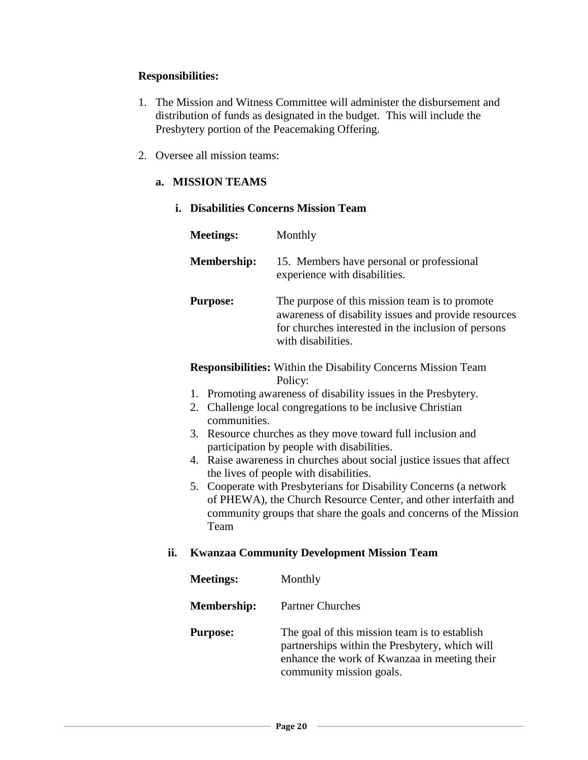## **Responsibilities:**

- 1. The Mission and Witness Committee will administer the disbursement and distribution of funds as designated in the budget. This will include the Presbytery portion of the Peacemaking Offering.
- 2. Oversee all mission teams:

### **a. MISSION TEAMS**

**i. Disabilities Concerns Mission Team Meetings:** Monthly **Membership:** 15. Members have personal or professional experience with disabilities. **Purpose:** The purpose of this mission team is to promote awareness of disability issues and provide resources for churches interested in the inclusion of persons with disabilities. **Responsibilities:** Within the Disability Concerns Mission Team Policy: 1. Promoting awareness of disability issues in the Presbytery. 2. Challenge local congregations to be inclusive Christian communities. 3. Resource churches as they move toward full inclusion and participation by people with disabilities. 4. Raise awareness in churches about social justice issues that affect the lives of people with disabilities. 5. Cooperate with Presbyterians for Disability Concerns (a network of PHEWA), the Church Resource Center, and other interfaith and community groups that share the goals and concerns of the Mission Team **ii. Kwanzaa Community Development Mission Team Meetings:** Monthly **Membership:** Partner Churches **Purpose:** The goal of this mission team is to establish partnerships within the Presbytery, which will enhance the work of Kwanzaa in meeting their community mission goals.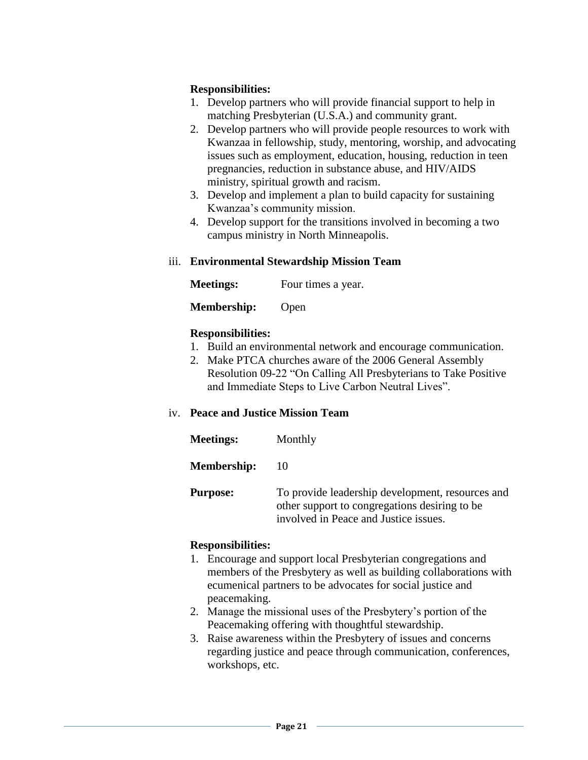#### **Responsibilities:**

- 1. Develop partners who will provide financial support to help in matching Presbyterian (U.S.A.) and community grant.
- 2. Develop partners who will provide people resources to work with Kwanzaa in fellowship, study, mentoring, worship, and advocating issues such as employment, education, housing, reduction in teen pregnancies, reduction in substance abuse, and HIV/AIDS ministry, spiritual growth and racism.
- 3. Develop and implement a plan to build capacity for sustaining Kwanzaa's community mission.
- 4. Develop support for the transitions involved in becoming a two campus ministry in North Minneapolis.

#### iii. **Environmental Stewardship Mission Team**

**Meetings:** Four times a year.

**Membership:** Open

#### **Responsibilities:**

- 1. Build an environmental network and encourage communication.
- 2. Make PTCA churches aware of the 2006 General Assembly Resolution 09-22 "On Calling All Presbyterians to Take Positive and Immediate Steps to Live Carbon Neutral Lives".

#### iv. **Peace and Justice Mission Team**

**Meetings:** Monthly

**Membership:** 10

**Purpose:** To provide leadership development, resources and other support to congregations desiring to be involved in Peace and Justice issues.

- 1. Encourage and support local Presbyterian congregations and members of the Presbytery as well as building collaborations with ecumenical partners to be advocates for social justice and peacemaking.
- 2. Manage the missional uses of the Presbytery's portion of the Peacemaking offering with thoughtful stewardship.
- 3. Raise awareness within the Presbytery of issues and concerns regarding justice and peace through communication, conferences, workshops, etc.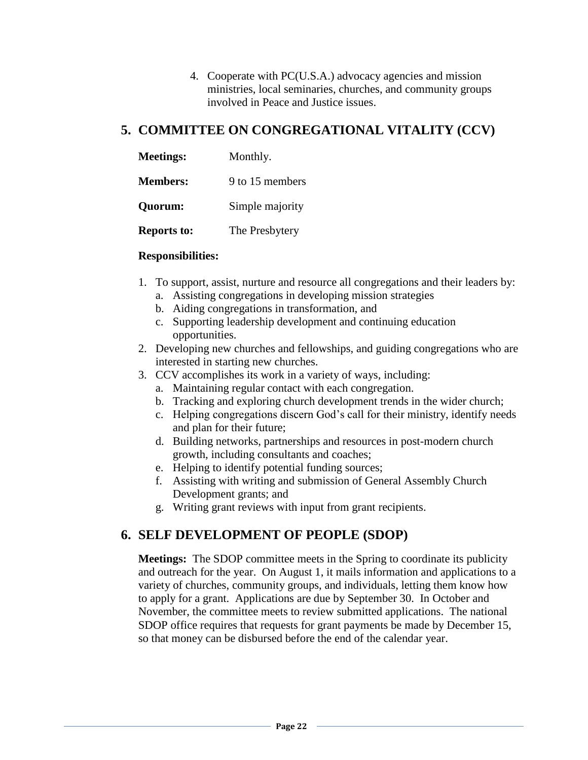4. Cooperate with PC(U.S.A.) advocacy agencies and mission ministries, local seminaries, churches, and community groups involved in Peace and Justice issues.

# **5. COMMITTEE ON CONGREGATIONAL VITALITY (CCV)**

| <b>Meetings:</b>   | Monthly.        |
|--------------------|-----------------|
| <b>Members:</b>    | 9 to 15 members |
| <b>Quorum:</b>     | Simple majority |
| <b>Reports to:</b> | The Presbytery  |

## **Responsibilities:**

- 1. To support, assist, nurture and resource all congregations and their leaders by:
	- a. Assisting congregations in developing mission strategies
	- b. Aiding congregations in transformation, and
	- c. Supporting leadership development and continuing education opportunities.
- 2. Developing new churches and fellowships, and guiding congregations who are interested in starting new churches.
- 3. CCV accomplishes its work in a variety of ways, including:
	- a. Maintaining regular contact with each congregation.
	- b. Tracking and exploring church development trends in the wider church;
	- c. Helping congregations discern God's call for their ministry, identify needs and plan for their future;
	- d. Building networks, partnerships and resources in post-modern church growth, including consultants and coaches;
	- e. Helping to identify potential funding sources;
	- f. Assisting with writing and submission of General Assembly Church Development grants; and
	- g. Writing grant reviews with input from grant recipients.

# **6. SELF DEVELOPMENT OF PEOPLE (SDOP)**

**Meetings:** The SDOP committee meets in the Spring to coordinate its publicity and outreach for the year. On August 1, it mails information and applications to a variety of churches, community groups, and individuals, letting them know how to apply for a grant. Applications are due by September 30. In October and November, the committee meets to review submitted applications. The national SDOP office requires that requests for grant payments be made by December 15, so that money can be disbursed before the end of the calendar year.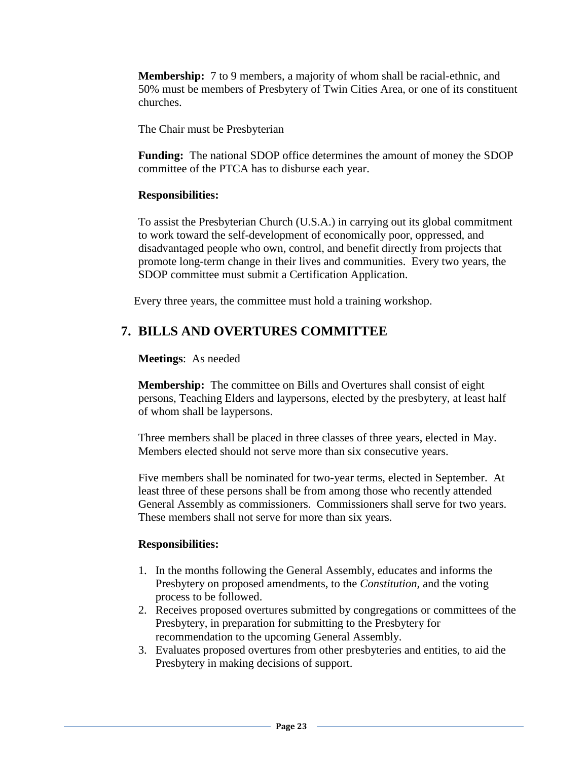**Membership:** 7 to 9 members, a majority of whom shall be racial-ethnic, and 50% must be members of Presbytery of Twin Cities Area, or one of its constituent churches.

The Chair must be Presbyterian

**Funding:** The national SDOP office determines the amount of money the SDOP committee of the PTCA has to disburse each year.

## **Responsibilities:**

To assist the Presbyterian Church (U.S.A.) in carrying out its global commitment to work toward the self-development of economically poor, oppressed, and disadvantaged people who own, control, and benefit directly from projects that promote long-term change in their lives and communities. Every two years, the SDOP committee must submit a Certification Application.

Every three years, the committee must hold a training workshop.

# **7. BILLS AND OVERTURES COMMITTEE**

**Meetings**: As needed

**Membership:** The committee on Bills and Overtures shall consist of eight persons, Teaching Elders and laypersons, elected by the presbytery, at least half of whom shall be laypersons.

Three members shall be placed in three classes of three years, elected in May. Members elected should not serve more than six consecutive years.

Five members shall be nominated for two-year terms, elected in September. At least three of these persons shall be from among those who recently attended General Assembly as commissioners. Commissioners shall serve for two years. These members shall not serve for more than six years.

- 1. In the months following the General Assembly, educates and informs the Presbytery on proposed amendments, to the *Constitution,* and the voting process to be followed.
- 2. Receives proposed overtures submitted by congregations or committees of the Presbytery, in preparation for submitting to the Presbytery for recommendation to the upcoming General Assembly.
- 3. Evaluates proposed overtures from other presbyteries and entities, to aid the Presbytery in making decisions of support.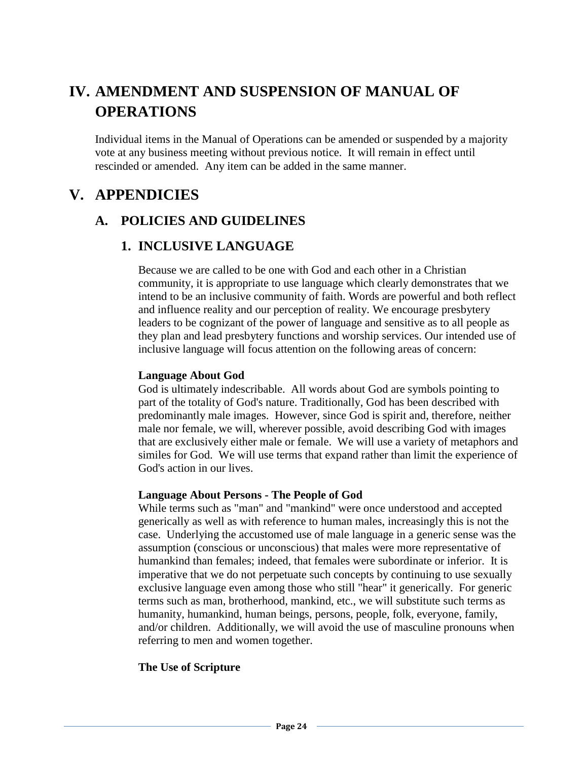# **IV. AMENDMENT AND SUSPENSION OF MANUAL OF OPERATIONS**

Individual items in the Manual of Operations can be amended or suspended by a majority vote at any business meeting without previous notice. It will remain in effect until rescinded or amended. Any item can be added in the same manner.

# **V. APPENDICIES**

# **A. POLICIES AND GUIDELINES**

## **1. INCLUSIVE LANGUAGE**

Because we are called to be one with God and each other in a Christian community, it is appropriate to use language which clearly demonstrates that we intend to be an inclusive community of faith. Words are powerful and both reflect and influence reality and our perception of reality. We encourage presbytery leaders to be cognizant of the power of language and sensitive as to all people as they plan and lead presbytery functions and worship services. Our intended use of inclusive language will focus attention on the following areas of concern:

## **Language About God**

God is ultimately indescribable. All words about God are symbols pointing to part of the totality of God's nature. Traditionally, God has been described with predominantly male images. However, since God is spirit and, therefore, neither male nor female, we will, wherever possible, avoid describing God with images that are exclusively either male or female. We will use a variety of metaphors and similes for God. We will use terms that expand rather than limit the experience of God's action in our lives.

## **Language About Persons - The People of God**

While terms such as "man" and "mankind" were once understood and accepted generically as well as with reference to human males, increasingly this is not the case. Underlying the accustomed use of male language in a generic sense was the assumption (conscious or unconscious) that males were more representative of humankind than females; indeed, that females were subordinate or inferior. It is imperative that we do not perpetuate such concepts by continuing to use sexually exclusive language even among those who still "hear" it generically. For generic terms such as man, brotherhood, mankind, etc., we will substitute such terms as humanity, humankind, human beings, persons, people, folk, everyone, family, and/or children. Additionally, we will avoid the use of masculine pronouns when referring to men and women together.

## **The Use of Scripture**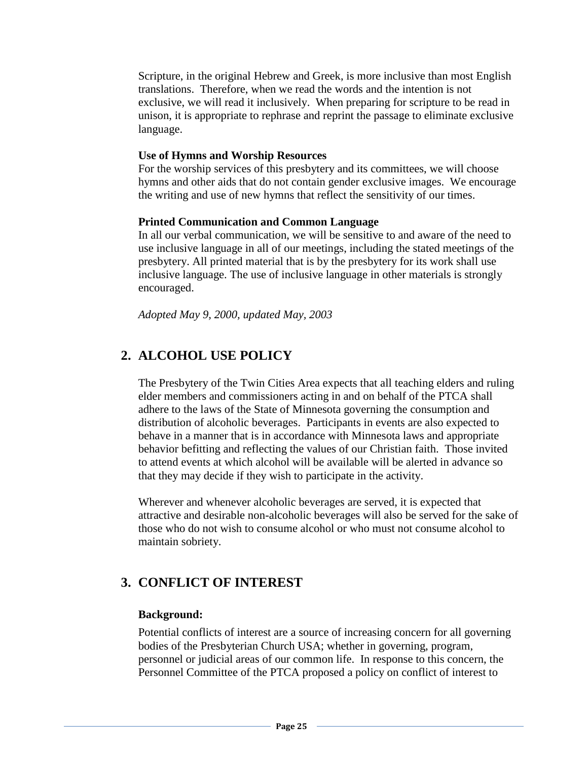Scripture, in the original Hebrew and Greek, is more inclusive than most English translations. Therefore, when we read the words and the intention is not exclusive, we will read it inclusively. When preparing for scripture to be read in unison, it is appropriate to rephrase and reprint the passage to eliminate exclusive language.

#### **Use of Hymns and Worship Resources**

For the worship services of this presbytery and its committees, we will choose hymns and other aids that do not contain gender exclusive images. We encourage the writing and use of new hymns that reflect the sensitivity of our times.

## **Printed Communication and Common Language**

In all our verbal communication, we will be sensitive to and aware of the need to use inclusive language in all of our meetings, including the stated meetings of the presbytery. All printed material that is by the presbytery for its work shall use inclusive language. The use of inclusive language in other materials is strongly encouraged.

*Adopted May 9, 2000, updated May, 2003*

# **2. ALCOHOL USE POLICY**

The Presbytery of the Twin Cities Area expects that all teaching elders and ruling elder members and commissioners acting in and on behalf of the PTCA shall adhere to the laws of the State of Minnesota governing the consumption and distribution of alcoholic beverages. Participants in events are also expected to behave in a manner that is in accordance with Minnesota laws and appropriate behavior befitting and reflecting the values of our Christian faith. Those invited to attend events at which alcohol will be available will be alerted in advance so that they may decide if they wish to participate in the activity.

Wherever and whenever alcoholic beverages are served, it is expected that attractive and desirable non-alcoholic beverages will also be served for the sake of those who do not wish to consume alcohol or who must not consume alcohol to maintain sobriety.

# **3. CONFLICT OF INTEREST**

#### **Background:**

Potential conflicts of interest are a source of increasing concern for all governing bodies of the Presbyterian Church USA; whether in governing, program, personnel or judicial areas of our common life. In response to this concern, the Personnel Committee of the PTCA proposed a policy on conflict of interest to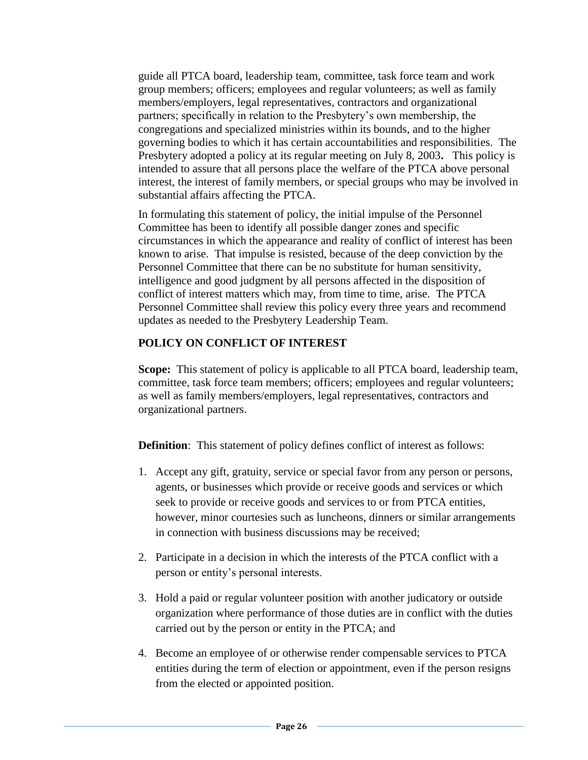guide all PTCA board, leadership team, committee, task force team and work group members; officers; employees and regular volunteers; as well as family members/employers, legal representatives, contractors and organizational partners; specifically in relation to the Presbytery's own membership, the congregations and specialized ministries within its bounds, and to the higher governing bodies to which it has certain accountabilities and responsibilities. The Presbytery adopted a policy at its regular meeting on July 8, 2003**.** This policy is intended to assure that all persons place the welfare of the PTCA above personal interest, the interest of family members, or special groups who may be involved in substantial affairs affecting the PTCA.

In formulating this statement of policy, the initial impulse of the Personnel Committee has been to identify all possible danger zones and specific circumstances in which the appearance and reality of conflict of interest has been known to arise. That impulse is resisted, because of the deep conviction by the Personnel Committee that there can be no substitute for human sensitivity, intelligence and good judgment by all persons affected in the disposition of conflict of interest matters which may, from time to time, arise. The PTCA Personnel Committee shall review this policy every three years and recommend updates as needed to the Presbytery Leadership Team.

## **POLICY ON CONFLICT OF INTEREST**

**Scope:** This statement of policy is applicable to all PTCA board, leadership team, committee, task force team members; officers; employees and regular volunteers; as well as family members/employers, legal representatives, contractors and organizational partners.

**Definition**: This statement of policy defines conflict of interest as follows:

- 1. Accept any gift, gratuity, service or special favor from any person or persons, agents, or businesses which provide or receive goods and services or which seek to provide or receive goods and services to or from PTCA entities, however, minor courtesies such as luncheons, dinners or similar arrangements in connection with business discussions may be received;
- 2. Participate in a decision in which the interests of the PTCA conflict with a person or entity's personal interests.
- 3. Hold a paid or regular volunteer position with another judicatory or outside organization where performance of those duties are in conflict with the duties carried out by the person or entity in the PTCA; and
- 4. Become an employee of or otherwise render compensable services to PTCA entities during the term of election or appointment, even if the person resigns from the elected or appointed position.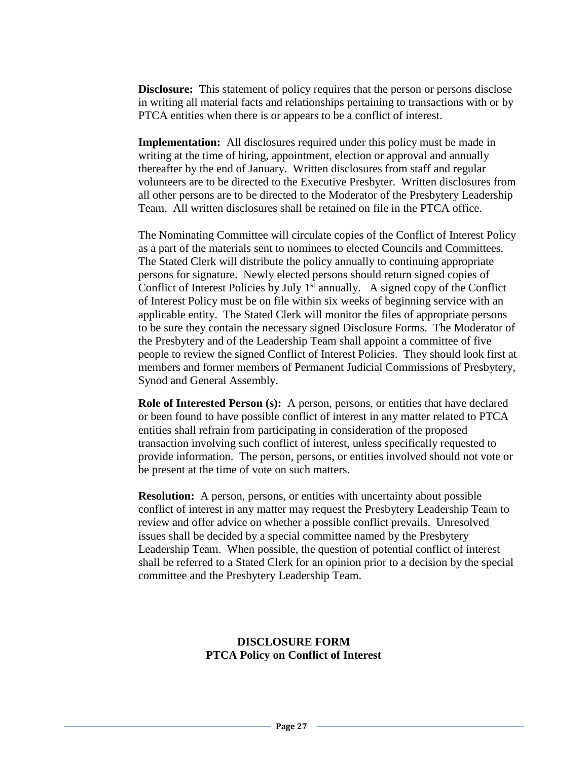**Disclosure:** This statement of policy requires that the person or persons disclose in writing all material facts and relationships pertaining to transactions with or by PTCA entities when there is or appears to be a conflict of interest.

**Implementation:** All disclosures required under this policy must be made in writing at the time of hiring, appointment, election or approval and annually thereafter by the end of January. Written disclosures from staff and regular volunteers are to be directed to the Executive Presbyter. Written disclosures from all other persons are to be directed to the Moderator of the Presbytery Leadership Team. All written disclosures shall be retained on file in the PTCA office.

The Nominating Committee will circulate copies of the Conflict of Interest Policy as a part of the materials sent to nominees to elected Councils and Committees. The Stated Clerk will distribute the policy annually to continuing appropriate persons for signature. Newly elected persons should return signed copies of Conflict of Interest Policies by July  $1<sup>st</sup>$  annually. A signed copy of the Conflict of Interest Policy must be on file within six weeks of beginning service with an applicable entity. The Stated Clerk will monitor the files of appropriate persons to be sure they contain the necessary signed Disclosure Forms. The Moderator of the Presbytery and of the Leadership Team shall appoint a committee of five people to review the signed Conflict of Interest Policies. They should look first at members and former members of Permanent Judicial Commissions of Presbytery, Synod and General Assembly.

**Role of Interested Person (s):** A person, persons, or entities that have declared or been found to have possible conflict of interest in any matter related to PTCA entities shall refrain from participating in consideration of the proposed transaction involving such conflict of interest, unless specifically requested to provide information. The person, persons, or entities involved should not vote or be present at the time of vote on such matters.

**Resolution:** A person, persons, or entities with uncertainty about possible conflict of interest in any matter may request the Presbytery Leadership Team to review and offer advice on whether a possible conflict prevails. Unresolved issues shall be decided by a special committee named by the Presbytery Leadership Team. When possible, the question of potential conflict of interest shall be referred to a Stated Clerk for an opinion prior to a decision by the special committee and the Presbytery Leadership Team.

#### **DISCLOSURE FORM PTCA Policy on Conflict of Interest**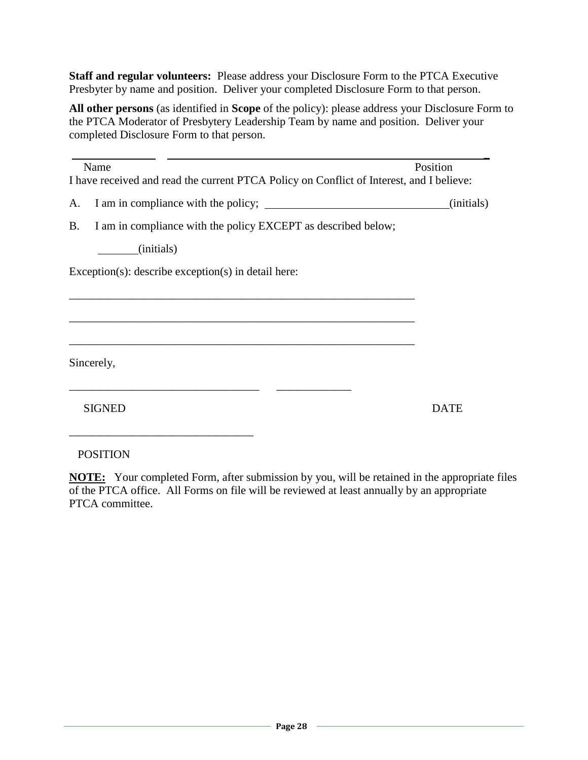**Staff and regular volunteers:** Please address your Disclosure Form to the PTCA Executive Presbyter by name and position. Deliver your completed Disclosure Form to that person.

**All other persons** (as identified in **Scope** of the policy): please address your Disclosure Form to the PTCA Moderator of Presbytery Leadership Team by name and position. Deliver your completed Disclosure Form to that person.

 \_ Name Position I have received and read the current PTCA Policy on Conflict of Interest, and I believe: A. I am in compliance with the policy; (initials) B. I am in compliance with the policy EXCEPT as described below; (initials) Exception(s): describe exception(s) in detail here: \_\_\_\_\_\_\_\_\_\_\_\_\_\_\_\_\_\_\_\_\_\_\_\_\_\_\_\_\_\_\_\_\_\_\_\_\_\_\_\_\_\_\_\_\_\_\_\_\_\_\_\_\_\_\_\_\_\_\_\_ \_\_\_\_\_\_\_\_\_\_\_\_\_\_\_\_\_\_\_\_\_\_\_\_\_\_\_\_\_\_\_\_\_\_\_\_\_\_\_\_\_\_\_\_\_\_\_\_\_\_\_\_\_\_\_\_\_\_\_\_ \_\_\_\_\_\_\_\_\_\_\_\_\_\_\_\_\_\_\_\_\_\_\_\_\_\_\_\_\_\_\_\_\_\_\_\_\_\_\_\_\_\_\_\_\_\_\_\_\_\_\_\_\_\_\_\_\_\_\_\_ Sincerely, \_\_\_\_\_\_\_\_\_\_\_\_\_\_\_\_\_\_\_\_\_\_\_\_\_\_\_\_\_\_\_\_\_ \_\_\_\_\_\_\_\_\_\_\_\_\_ SIGNED DATE

## POSITION

\_\_\_\_\_\_\_\_\_\_\_\_\_\_\_\_\_\_\_\_\_\_\_\_\_\_\_\_\_\_\_\_

**NOTE:** Your completed Form, after submission by you, will be retained in the appropriate files of the PTCA office. All Forms on file will be reviewed at least annually by an appropriate PTCA committee.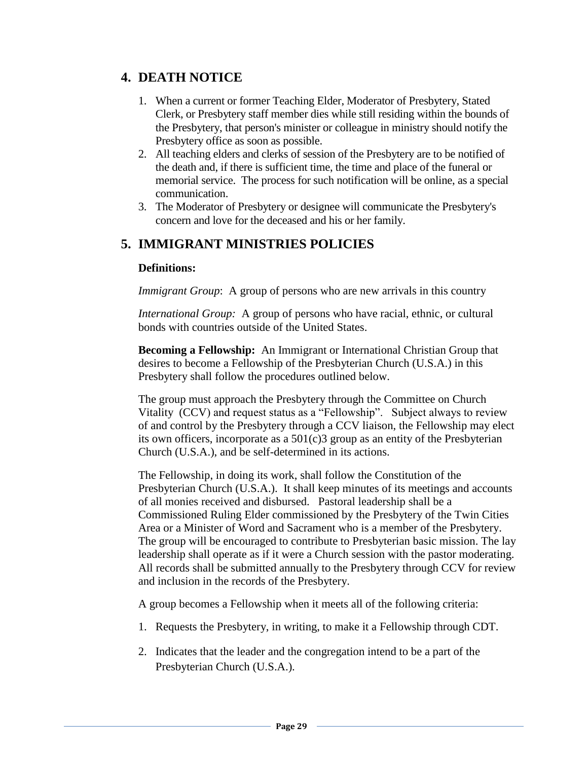# **4. DEATH NOTICE**

- 1. When a current or former Teaching Elder, Moderator of Presbytery, Stated Clerk, or Presbytery staff member dies while still residing within the bounds of the Presbytery, that person's minister or colleague in ministry should notify the Presbytery office as soon as possible.
- 2. All teaching elders and clerks of session of the Presbytery are to be notified of the death and, if there is sufficient time, the time and place of the funeral or memorial service. The process for such notification will be online, as a special communication.
- 3. The Moderator of Presbytery or designee will communicate the Presbytery's concern and love for the deceased and his or her family.

# **5. IMMIGRANT MINISTRIES POLICIES**

## **Definitions:**

*Immigrant Group*: A group of persons who are new arrivals in this country

*International Group:* A group of persons who have racial, ethnic, or cultural bonds with countries outside of the United States.

**Becoming a Fellowship:** An Immigrant or International Christian Group that desires to become a Fellowship of the Presbyterian Church (U.S.A.) in this Presbytery shall follow the procedures outlined below.

The group must approach the Presbytery through the Committee on Church Vitality (CCV) and request status as a "Fellowship". Subject always to review of and control by the Presbytery through a CCV liaison, the Fellowship may elect its own officers, incorporate as a  $501(c)3$  group as an entity of the Presbyterian Church (U.S.A.), and be self-determined in its actions.

The Fellowship, in doing its work, shall follow the Constitution of the Presbyterian Church (U.S.A.). It shall keep minutes of its meetings and accounts of all monies received and disbursed. Pastoral leadership shall be a Commissioned Ruling Elder commissioned by the Presbytery of the Twin Cities Area or a Minister of Word and Sacrament who is a member of the Presbytery. The group will be encouraged to contribute to Presbyterian basic mission. The lay leadership shall operate as if it were a Church session with the pastor moderating. All records shall be submitted annually to the Presbytery through CCV for review and inclusion in the records of the Presbytery.

A group becomes a Fellowship when it meets all of the following criteria:

- 1. Requests the Presbytery, in writing, to make it a Fellowship through CDT.
- 2. Indicates that the leader and the congregation intend to be a part of the Presbyterian Church (U.S.A.).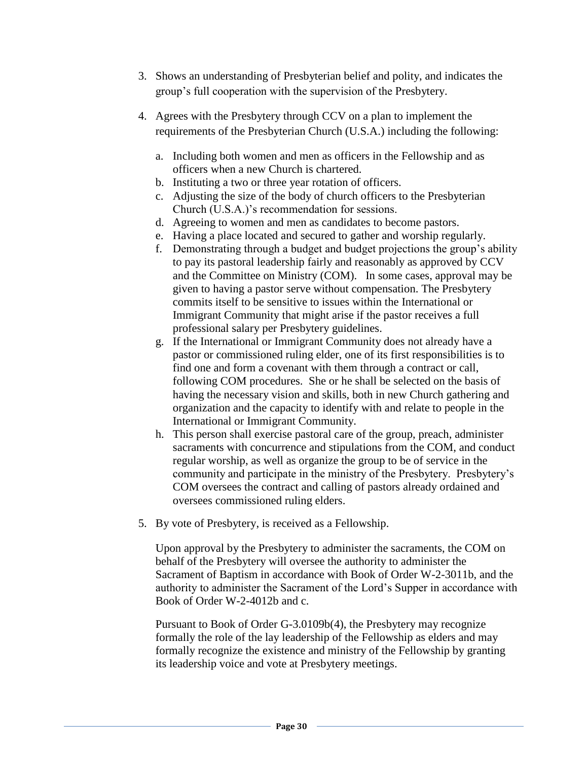- 3. Shows an understanding of Presbyterian belief and polity, and indicates the group's full cooperation with the supervision of the Presbytery.
- 4. Agrees with the Presbytery through CCV on a plan to implement the requirements of the Presbyterian Church (U.S.A.) including the following:
	- a. Including both women and men as officers in the Fellowship and as officers when a new Church is chartered.
	- b. Instituting a two or three year rotation of officers.
	- c. Adjusting the size of the body of church officers to the Presbyterian Church (U.S.A.)'s recommendation for sessions.
	- d. Agreeing to women and men as candidates to become pastors.
	- e. Having a place located and secured to gather and worship regularly.
	- f. Demonstrating through a budget and budget projections the group's ability to pay its pastoral leadership fairly and reasonably as approved by CCV and the Committee on Ministry (COM). In some cases, approval may be given to having a pastor serve without compensation. The Presbytery commits itself to be sensitive to issues within the International or Immigrant Community that might arise if the pastor receives a full professional salary per Presbytery guidelines.
	- g. If the International or Immigrant Community does not already have a pastor or commissioned ruling elder, one of its first responsibilities is to find one and form a covenant with them through a contract or call, following COM procedures. She or he shall be selected on the basis of having the necessary vision and skills, both in new Church gathering and organization and the capacity to identify with and relate to people in the International or Immigrant Community.
	- h. This person shall exercise pastoral care of the group, preach, administer sacraments with concurrence and stipulations from the COM, and conduct regular worship, as well as organize the group to be of service in the community and participate in the ministry of the Presbytery. Presbytery's COM oversees the contract and calling of pastors already ordained and oversees commissioned ruling elders.
- 5. By vote of Presbytery, is received as a Fellowship.

Upon approval by the Presbytery to administer the sacraments, the COM on behalf of the Presbytery will oversee the authority to administer the Sacrament of Baptism in accordance with Book of Order W-2-3011b, and the authority to administer the Sacrament of the Lord's Supper in accordance with Book of Order W-2-4012b and c.

Pursuant to Book of Order G-3.0109b(4), the Presbytery may recognize formally the role of the lay leadership of the Fellowship as elders and may formally recognize the existence and ministry of the Fellowship by granting its leadership voice and vote at Presbytery meetings.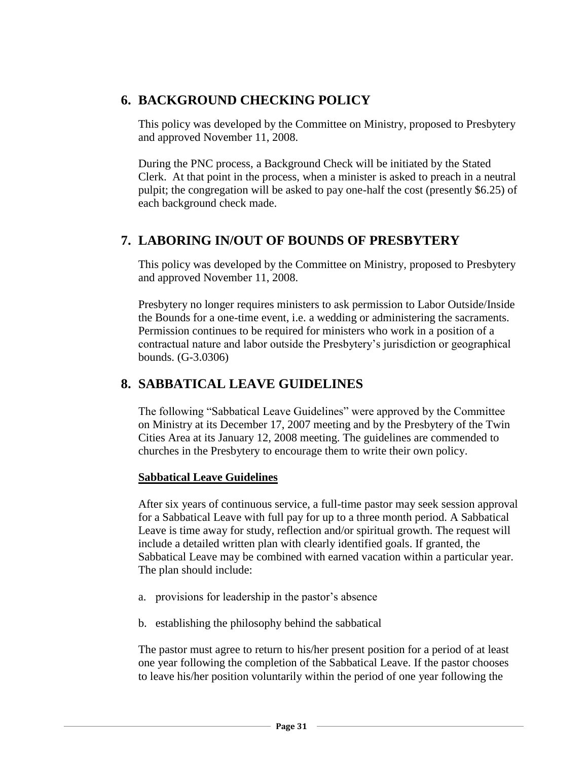# **6. BACKGROUND CHECKING POLICY**

This policy was developed by the Committee on Ministry, proposed to Presbytery and approved November 11, 2008.

During the PNC process, a Background Check will be initiated by the Stated Clerk. At that point in the process, when a minister is asked to preach in a neutral pulpit; the congregation will be asked to pay one-half the cost (presently \$6.25) of each background check made.

# **7. LABORING IN/OUT OF BOUNDS OF PRESBYTERY**

This policy was developed by the Committee on Ministry, proposed to Presbytery and approved November 11, 2008.

Presbytery no longer requires ministers to ask permission to Labor Outside/Inside the Bounds for a one-time event, i.e. a wedding or administering the sacraments. Permission continues to be required for ministers who work in a position of a contractual nature and labor outside the Presbytery's jurisdiction or geographical bounds. (G-3.0306)

# **8. SABBATICAL LEAVE GUIDELINES**

The following "Sabbatical Leave Guidelines" were approved by the Committee on Ministry at its December 17, 2007 meeting and by the Presbytery of the Twin Cities Area at its January 12, 2008 meeting. The guidelines are commended to churches in the Presbytery to encourage them to write their own policy.

## **Sabbatical Leave Guidelines**

After six years of continuous service, a full-time pastor may seek session approval for a Sabbatical Leave with full pay for up to a three month period. A Sabbatical Leave is time away for study, reflection and/or spiritual growth. The request will include a detailed written plan with clearly identified goals. If granted, the Sabbatical Leave may be combined with earned vacation within a particular year. The plan should include:

- a. provisions for leadership in the pastor's absence
- b. establishing the philosophy behind the sabbatical

The pastor must agree to return to his/her present position for a period of at least one year following the completion of the Sabbatical Leave. If the pastor chooses to leave his/her position voluntarily within the period of one year following the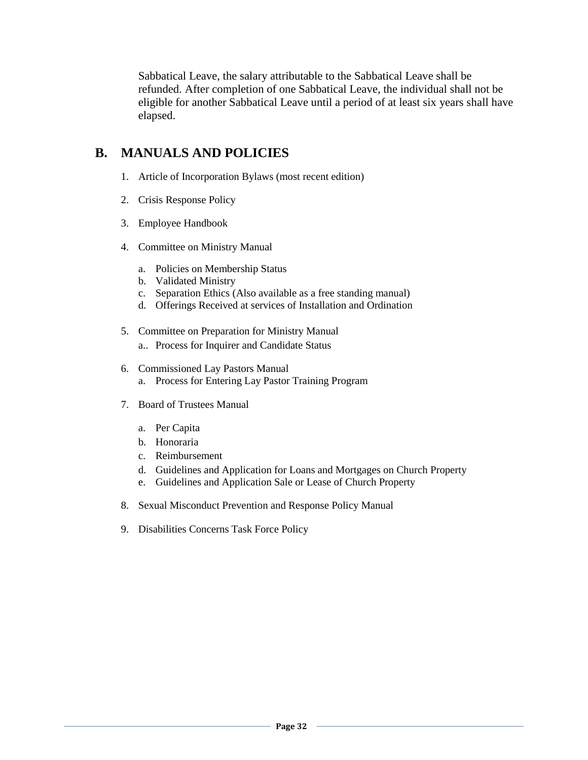Sabbatical Leave, the salary attributable to the Sabbatical Leave shall be refunded. After completion of one Sabbatical Leave, the individual shall not be eligible for another Sabbatical Leave until a period of at least six years shall have elapsed.

## **B. MANUALS AND POLICIES**

- 1. Article of Incorporation Bylaws (most recent edition)
- 2. Crisis Response Policy
- 3. Employee Handbook
- 4. Committee on Ministry Manual
	- a. Policies on Membership Status
	- b. Validated Ministry
	- c. Separation Ethics (Also available as a free standing manual)
	- d. Offerings Received at services of Installation and Ordination
- 5. Committee on Preparation for Ministry Manual a.. Process for Inquirer and Candidate Status
- 6. Commissioned Lay Pastors Manual a. Process for Entering Lay Pastor Training Program
- 7. Board of Trustees Manual
	- a. Per Capita
	- b. Honoraria
	- c. Reimbursement
	- d. Guidelines and Application for Loans and Mortgages on Church Property
	- e. Guidelines and Application Sale or Lease of Church Property
- 8. Sexual Misconduct Prevention and Response Policy Manual
- 9. Disabilities Concerns Task Force Policy